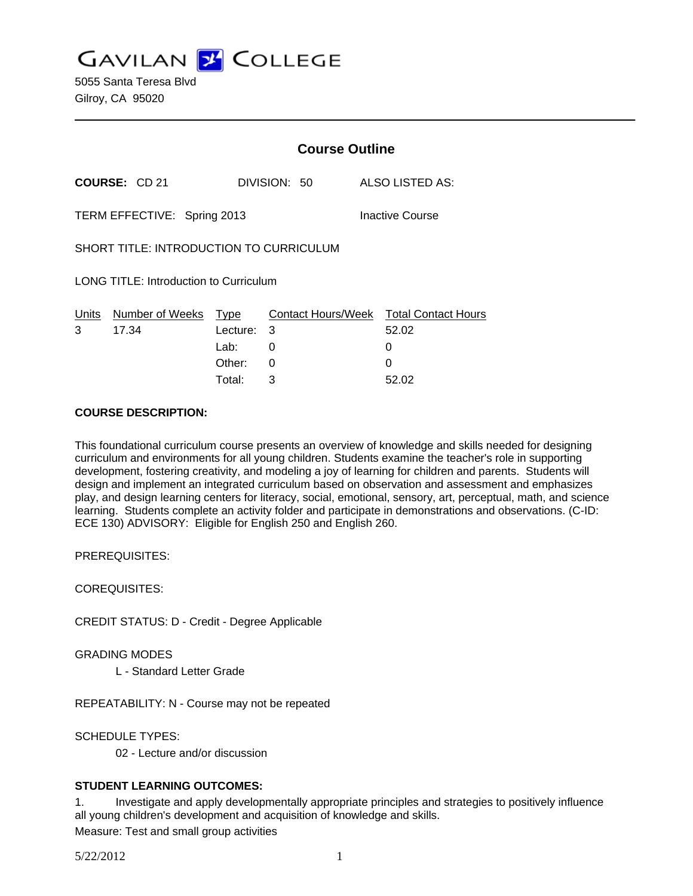**GAVILAN J COLLEGE** 

5055 Santa Teresa Blvd Gilroy, CA 95020

|                                                |                       | <b>Course Outline</b> |              |                                        |
|------------------------------------------------|-----------------------|-----------------------|--------------|----------------------------------------|
| <b>COURSE: CD 21</b>                           |                       |                       | DIVISION: 50 | ALSO LISTED AS:                        |
| TERM EFFECTIVE: Spring 2013<br>Inactive Course |                       |                       |              |                                        |
| SHORT TITLE: INTRODUCTION TO CURRICULUM        |                       |                       |              |                                        |
| LONG TITLE: Introduction to Curriculum         |                       |                       |              |                                        |
|                                                | Units Number of Weeks | Type                  |              | Contact Hours/Week Total Contact Hours |
| 3                                              | 17.34                 | Lecture: 3            |              | 52.02                                  |
|                                                |                       | Lab:                  | 0            | 0                                      |
|                                                |                       | Other:                | 0            | 0                                      |
|                                                |                       | Total:                | 3            | 52.02                                  |

#### **COURSE DESCRIPTION:**

This foundational curriculum course presents an overview of knowledge and skills needed for designing curriculum and environments for all young children. Students examine the teacher's role in supporting development, fostering creativity, and modeling a joy of learning for children and parents. Students will design and implement an integrated curriculum based on observation and assessment and emphasizes play, and design learning centers for literacy, social, emotional, sensory, art, perceptual, math, and science learning. Students complete an activity folder and participate in demonstrations and observations. (C-ID: ECE 130) ADVISORY: Eligible for English 250 and English 260.

PREREQUISITES:

COREQUISITES:

CREDIT STATUS: D - Credit - Degree Applicable

GRADING MODES

L - Standard Letter Grade

REPEATABILITY: N - Course may not be repeated

SCHEDULE TYPES:

02 - Lecture and/or discussion

### **STUDENT LEARNING OUTCOMES:**

1. Investigate and apply developmentally appropriate principles and strategies to positively influence all young children's development and acquisition of knowledge and skills.

Measure: Test and small group activities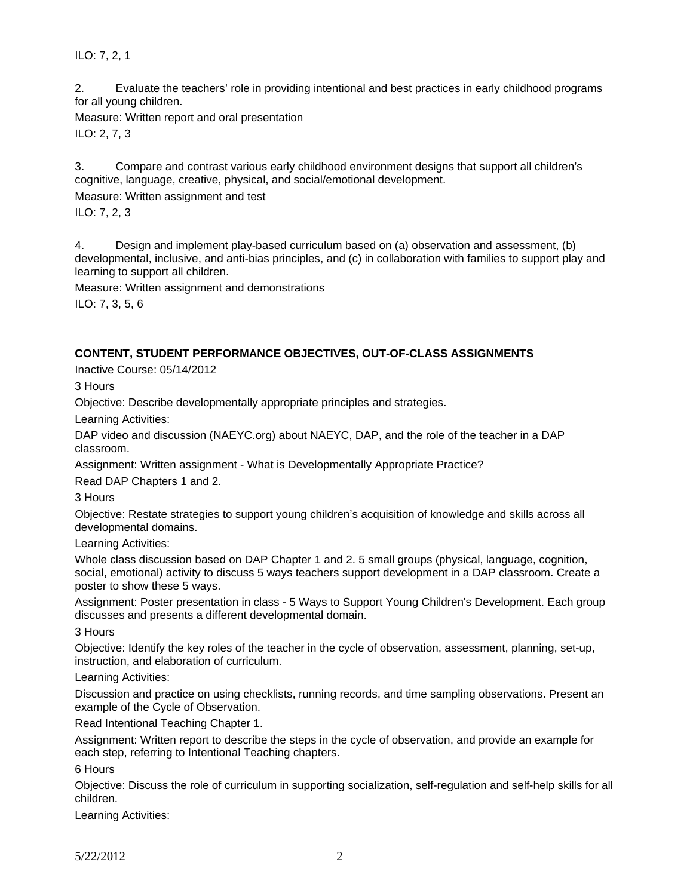ILO: 7, 2, 1

2. Evaluate the teachers' role in providing intentional and best practices in early childhood programs for all young children.

Measure: Written report and oral presentation

ILO: 2, 7, 3

3. Compare and contrast various early childhood environment designs that support all children's cognitive, language, creative, physical, and social/emotional development.

Measure: Written assignment and test

ILO: 7, 2, 3

4. Design and implement play-based curriculum based on (a) observation and assessment, (b) developmental, inclusive, and anti-bias principles, and (c) in collaboration with families to support play and learning to support all children.

Measure: Written assignment and demonstrations

ILO: 7, 3, 5, 6

### **CONTENT, STUDENT PERFORMANCE OBJECTIVES, OUT-OF-CLASS ASSIGNMENTS**

Inactive Course: 05/14/2012

3 Hours

Objective: Describe developmentally appropriate principles and strategies.

Learning Activities:

DAP video and discussion (NAEYC.org) about NAEYC, DAP, and the role of the teacher in a DAP classroom.

Assignment: Written assignment - What is Developmentally Appropriate Practice?

Read DAP Chapters 1 and 2.

3 Hours

Objective: Restate strategies to support young children's acquisition of knowledge and skills across all developmental domains.

Learning Activities:

Whole class discussion based on DAP Chapter 1 and 2. 5 small groups (physical, language, cognition, social, emotional) activity to discuss 5 ways teachers support development in a DAP classroom. Create a poster to show these 5 ways.

Assignment: Poster presentation in class - 5 Ways to Support Young Children's Development. Each group discusses and presents a different developmental domain.

3 Hours

Objective: Identify the key roles of the teacher in the cycle of observation, assessment, planning, set-up, instruction, and elaboration of curriculum.

Learning Activities:

Discussion and practice on using checklists, running records, and time sampling observations. Present an example of the Cycle of Observation.

Read Intentional Teaching Chapter 1.

Assignment: Written report to describe the steps in the cycle of observation, and provide an example for each step, referring to Intentional Teaching chapters.

6 Hours

Objective: Discuss the role of curriculum in supporting socialization, self-regulation and self-help skills for all children.

Learning Activities: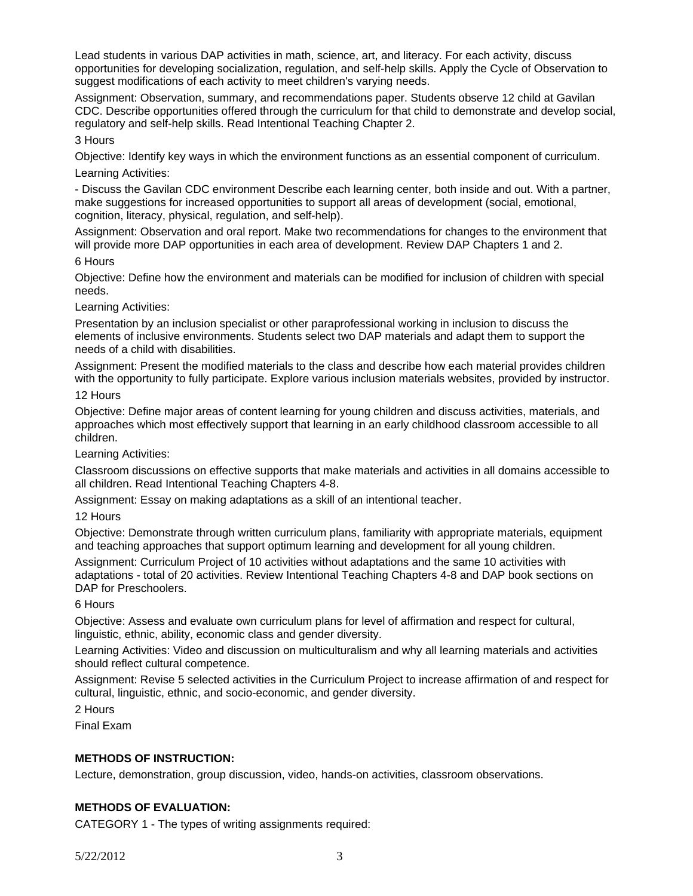Lead students in various DAP activities in math, science, art, and literacy. For each activity, discuss opportunities for developing socialization, regulation, and self-help skills. Apply the Cycle of Observation to suggest modifications of each activity to meet children's varying needs.

Assignment: Observation, summary, and recommendations paper. Students observe 12 child at Gavilan CDC. Describe opportunities offered through the curriculum for that child to demonstrate and develop social, regulatory and self-help skills. Read Intentional Teaching Chapter 2.

3 Hours

Objective: Identify key ways in which the environment functions as an essential component of curriculum.

Learning Activities:

- Discuss the Gavilan CDC environment Describe each learning center, both inside and out. With a partner, make suggestions for increased opportunities to support all areas of development (social, emotional, cognition, literacy, physical, regulation, and self-help).

Assignment: Observation and oral report. Make two recommendations for changes to the environment that will provide more DAP opportunities in each area of development. Review DAP Chapters 1 and 2.

6 Hours

Objective: Define how the environment and materials can be modified for inclusion of children with special needs.

Learning Activities:

Presentation by an inclusion specialist or other paraprofessional working in inclusion to discuss the elements of inclusive environments. Students select two DAP materials and adapt them to support the needs of a child with disabilities.

Assignment: Present the modified materials to the class and describe how each material provides children with the opportunity to fully participate. Explore various inclusion materials websites, provided by instructor.

### 12 Hours

Objective: Define major areas of content learning for young children and discuss activities, materials, and approaches which most effectively support that learning in an early childhood classroom accessible to all children.

Learning Activities:

Classroom discussions on effective supports that make materials and activities in all domains accessible to all children. Read Intentional Teaching Chapters 4-8.

Assignment: Essay on making adaptations as a skill of an intentional teacher.

12 Hours

Objective: Demonstrate through written curriculum plans, familiarity with appropriate materials, equipment and teaching approaches that support optimum learning and development for all young children.

Assignment: Curriculum Project of 10 activities without adaptations and the same 10 activities with adaptations - total of 20 activities. Review Intentional Teaching Chapters 4-8 and DAP book sections on DAP for Preschoolers.

# 6 Hours

Objective: Assess and evaluate own curriculum plans for level of affirmation and respect for cultural, linguistic, ethnic, ability, economic class and gender diversity.

Learning Activities: Video and discussion on multiculturalism and why all learning materials and activities should reflect cultural competence.

Assignment: Revise 5 selected activities in the Curriculum Project to increase affirmation of and respect for cultural, linguistic, ethnic, and socio-economic, and gender diversity.

2 Hours

Final Exam

# **METHODS OF INSTRUCTION:**

Lecture, demonstration, group discussion, video, hands-on activities, classroom observations.

# **METHODS OF EVALUATION:**

CATEGORY 1 - The types of writing assignments required: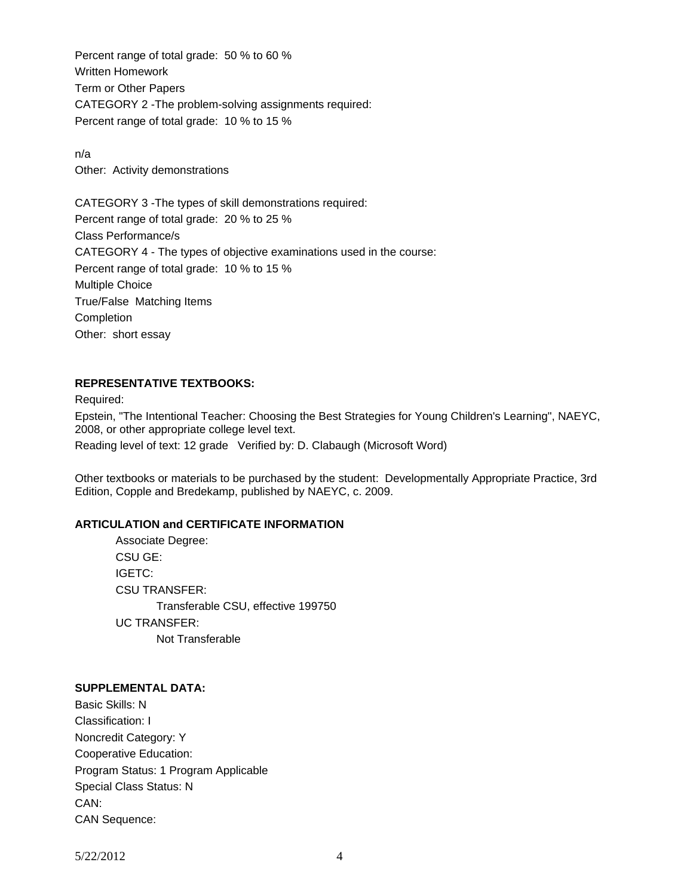Percent range of total grade: 50 % to 60 % Written Homework Term or Other Papers CATEGORY 2 -The problem-solving assignments required: Percent range of total grade: 10 % to 15 %

n/a Other: Activity demonstrations

CATEGORY 3 -The types of skill demonstrations required: Percent range of total grade: 20 % to 25 % Class Performance/s CATEGORY 4 - The types of objective examinations used in the course: Percent range of total grade: 10 % to 15 % Multiple Choice True/False Matching Items Completion Other: short essay

### **REPRESENTATIVE TEXTBOOKS:**

Required:

Epstein, "The Intentional Teacher: Choosing the Best Strategies for Young Children's Learning", NAEYC, 2008, or other appropriate college level text.

Reading level of text: 12 grade Verified by: D. Clabaugh (Microsoft Word)

Other textbooks or materials to be purchased by the student: Developmentally Appropriate Practice, 3rd Edition, Copple and Bredekamp, published by NAEYC, c. 2009.

### **ARTICULATION and CERTIFICATE INFORMATION**

 Associate Degree: CSU GE: IGETC: CSU TRANSFER: Transferable CSU, effective 199750 UC TRANSFER: Not Transferable

#### **SUPPLEMENTAL DATA:**

Basic Skills: N Classification: I Noncredit Category: Y Cooperative Education: Program Status: 1 Program Applicable Special Class Status: N CAN: CAN Sequence: